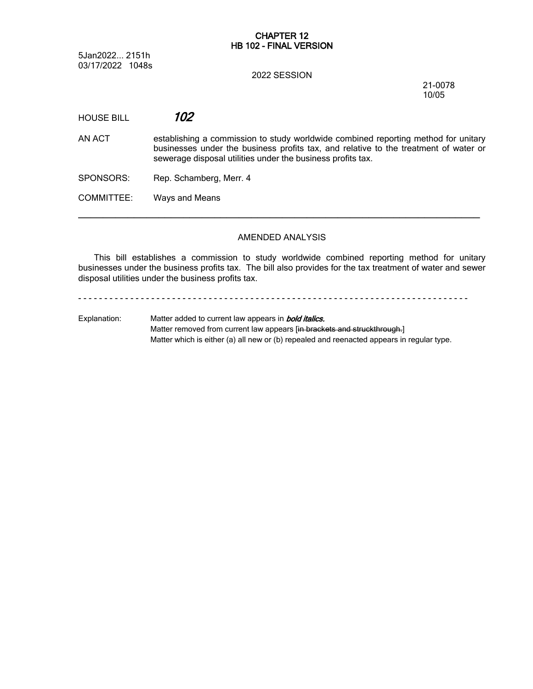## **CHAPTER 12 HB 102 - FINAL VERSION**

5Jan2022... 2151h 03/17/2022 1048s

### 2022 SESSION

21-0078 10/05

- HOUSE BILL *102*
- AN ACT establishing a commission to study worldwide combined reporting method for unitary businesses under the business profits tax, and relative to the treatment of water or sewerage disposal utilities under the business profits tax.
- SPONSORS: Rep. Schamberg, Merr. 4
- COMMITTEE: Ways and Means

### AMENDED ANALYSIS

─────────────────────────────────────────────────────────────────

This bill establishes a commission to study worldwide combined reporting method for unitary businesses under the business profits tax. The bill also provides for the tax treatment of water and sewer disposal utilities under the business profits tax.

- - - - - - - - - - - - - - - - - - - - - - - - - - - - - - - - - - - - - - - - - - - - - - - - - - - - - - - - - - - - - - - - - - - - - - - - - - -

Explanation: Matter added to current law appears in *bold italics.* Matter removed from current law appears [in brackets and struckthrough.] Matter which is either (a) all new or (b) repealed and reenacted appears in regular type.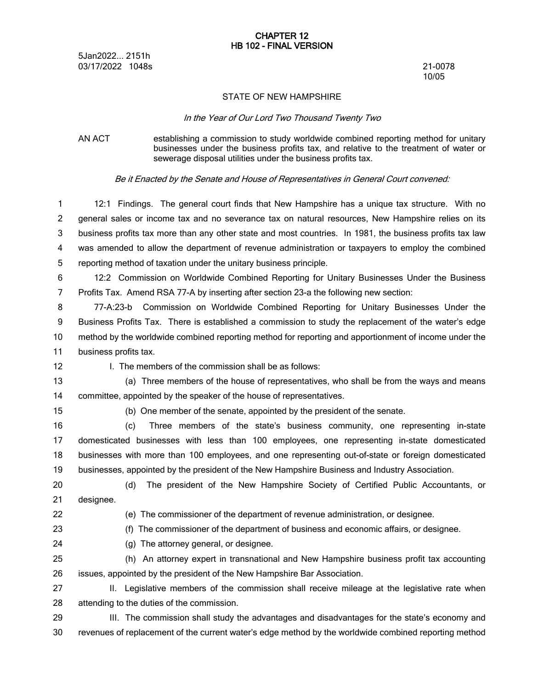### **CHAPTER 12 HB 102 - FINAL VERSION**

5Jan2022... 2151h 03/17/2022 1048s 21-0078

10/05

### STATE OF NEW HAMPSHIRE

#### *In the Year of Our Lord Two Thousand Twenty Two*

## AN ACT establishing a commission to study worldwide combined reporting method for unitary businesses under the business profits tax, and relative to the treatment of water or sewerage disposal utilities under the business profits tax.

### *Be it Enacted by the Senate and House of Representatives in General Court convened:*

12:1 Findings. The general court finds that New Hampshire has a unique tax structure. With no general sales or income tax and no severance tax on natural resources, New Hampshire relies on its business profits tax more than any other state and most countries. In 1981, the business profits tax law was amended to allow the department of revenue administration or taxpayers to employ the combined reporting method of taxation under the unitary business principle. 1 2 3 4 5

12:2 Commission on Worldwide Combined Reporting for Unitary Businesses Under the Business Profits Tax. Amend RSA 77-A by inserting after section 23-a the following new section: 6 7

77-A:23-b Commission on Worldwide Combined Reporting for Unitary Businesses Under the Business Profits Tax. There is established a commission to study the replacement of the water's edge method by the worldwide combined reporting method for reporting and apportionment of income under the business profits tax. 8 9 10 11

12

### I. The members of the commission shall be as follows:

(a) Three members of the house of representatives, who shall be from the ways and means committee, appointed by the speaker of the house of representatives. 13 14

15

(b) One member of the senate, appointed by the president of the senate.

(c) Three members of the state's business community, one representing in-state domesticated businesses with less than 100 employees, one representing in-state domesticated businesses with more than 100 employees, and one representing out-of-state or foreign domesticated businesses, appointed by the president of the New Hampshire Business and Industry Association. 16 17 18 19

(d) The president of the New Hampshire Society of Certified Public Accountants, or designee. 20 21

22

(e) The commissioner of the department of revenue administration, or designee.

(f) The commissioner of the department of business and economic affairs, or designee.

23 24

(g) The attorney general, or designee.

(h) An attorney expert in transnational and New Hampshire business profit tax accounting issues, appointed by the president of the New Hampshire Bar Association. 25 26

II. Legislative members of the commission shall receive mileage at the legislative rate when attending to the duties of the commission. 27 28

III. The commission shall study the advantages and disadvantages for the state's economy and revenues of replacement of the current water's edge method by the worldwide combined reporting method 29 30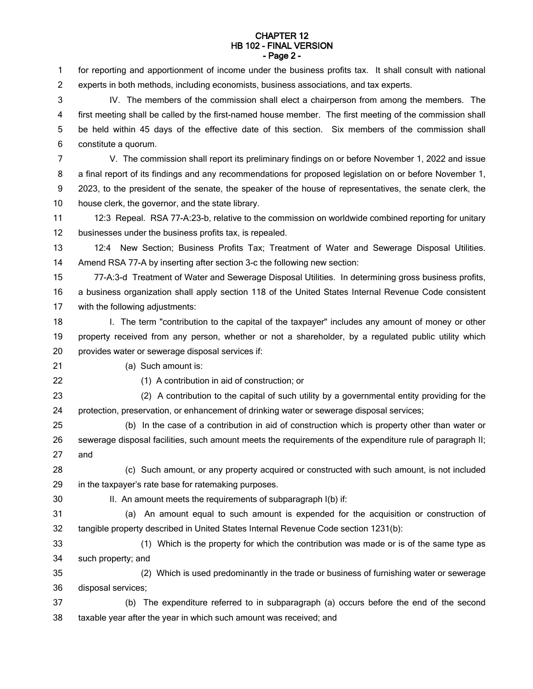## **CHAPTER 12 HB 102 - FINAL VERSION - Page 2 -**

for reporting and apportionment of income under the business profits tax. It shall consult with national experts in both methods, including economists, business associations, and tax experts. IV. The members of the commission shall elect a chairperson from among the members. The first meeting shall be called by the first-named house member. The first meeting of the commission shall be held within 45 days of the effective date of this section. Six members of the commission shall constitute a quorum. V. The commission shall report its preliminary findings on or before November 1, 2022 and issue a final report of its findings and any recommendations for proposed legislation on or before November 1, 2023, to the president of the senate, the speaker of the house of representatives, the senate clerk, the house clerk, the governor, and the state library. 12:3 Repeal. RSA 77-A:23-b, relative to the commission on worldwide combined reporting for unitary businesses under the business profits tax, is repealed. 12:4 New Section; Business Profits Tax; Treatment of Water and Sewerage Disposal Utilities. Amend RSA 77-A by inserting after section 3-c the following new section: 77-A:3-d Treatment of Water and Sewerage Disposal Utilities. In determining gross business profits, a business organization shall apply section 118 of the United States Internal Revenue Code consistent with the following adjustments: I. The term "contribution to the capital of the taxpayer" includes any amount of money or other property received from any person, whether or not a shareholder, by a regulated public utility which provides water or sewerage disposal services if: (a) Such amount is: (1) A contribution in aid of construction; or (2) A contribution to the capital of such utility by a governmental entity providing for the protection, preservation, or enhancement of drinking water or sewerage disposal services; (b) In the case of a contribution in aid of construction which is property other than water or sewerage disposal facilities, such amount meets the requirements of the expenditure rule of paragraph II; and (c) Such amount, or any property acquired or constructed with such amount, is not included in the taxpayer's rate base for ratemaking purposes. II. An amount meets the requirements of subparagraph I(b) if: (a) An amount equal to such amount is expended for the acquisition or construction of tangible property described in United States Internal Revenue Code section 1231(b): (1) Which is the property for which the contribution was made or is of the same type as such property; and (2) Which is used predominantly in the trade or business of furnishing water or sewerage disposal services; (b) The expenditure referred to in subparagraph (a) occurs before the end of the second taxable year after the year in which such amount was received; and 1 2 3 4 5 6 7 8 9 10 11 12 13 14 15 16 17 18 19 20 21 22 23 24 25 26 27 28 29 30 31 32 33 34 35 36 37 38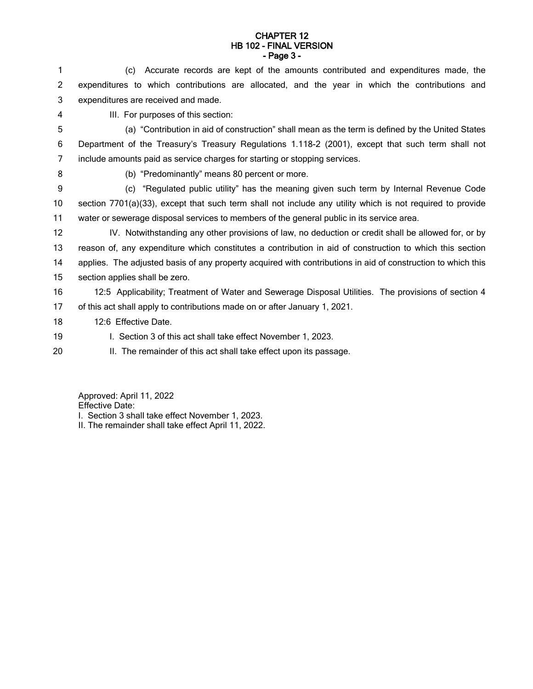## **CHAPTER 12 HB 102 - FINAL VERSION - Page 3 -**

(c) Accurate records are kept of the amounts contributed and expenditures made, the expenditures to which contributions are allocated, and the year in which the contributions and expenditures are received and made. 1 2 3

III. For purposes of this section: 4

(a) "Contribution in aid of construction" shall mean as the term is defined by the United States Department of the Treasury's Treasury Regulations 1.118-2 (2001), except that such term shall not include amounts paid as service charges for starting or stopping services. 5 6 7

8

19

(b) "Predominantly" means 80 percent or more.

(c) "Regulated public utility" has the meaning given such term by Internal Revenue Code section 7701(a)(33), except that such term shall not include any utility which is not required to provide water or sewerage disposal services to members of the general public in its service area. 9 10 11

IV. Notwithstanding any other provisions of law, no deduction or credit shall be allowed for, or by reason of, any expenditure which constitutes a contribution in aid of construction to which this section applies. The adjusted basis of any property acquired with contributions in aid of construction to which this section applies shall be zero. 12 13 14 15

12:5 Applicability; Treatment of Water and Sewerage Disposal Utilities. The provisions of section 4 of this act shall apply to contributions made on or after January 1, 2021. 16 17

- 12:6 Effective Date. 18
	- I. Section 3 of this act shall take effect November 1, 2023.
- II. The remainder of this act shall take effect upon its passage. 20

Approved: April 11, 2022 Effective Date: I. Section 3 shall take effect November 1, 2023.

II. The remainder shall take effect April 11, 2022.